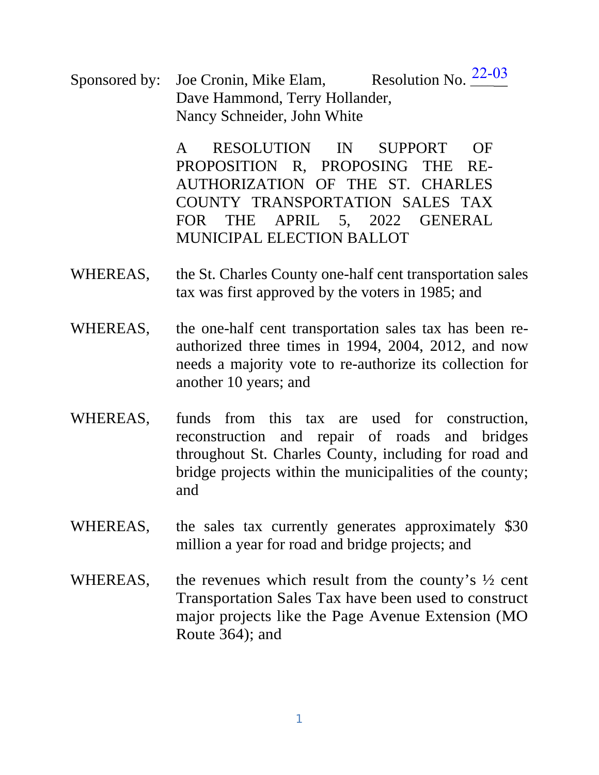Sponsored by: Joe Cronin, Mike Elam, Dave Hammond, Terry Hollander, Nancy Schneider, John White Resolution No.  $22-03$ 

> A RESOLUTION IN SUPPORT OF PROPOSITION R, PROPOSING THE RE-AUTHORIZATION OF THE ST. CHARLES COUNTY TRANSPORTATION SALES TAX FOR THE APRIL 5, 2022 GENERAL MUNICIPAL ELECTION BALLOT

- WHEREAS, the St. Charles County one-half cent transportation sales tax was first approved by the voters in 1985; and
- WHEREAS, the one-half cent transportation sales tax has been reauthorized three times in 1994, 2004, 2012, and now needs a majority vote to re-authorize its collection for another 10 years; and
- WHEREAS, funds from this tax are used for construction, reconstruction and repair of roads and bridges throughout St. Charles County, including for road and bridge projects within the municipalities of the county; and
- WHEREAS, the sales tax currently generates approximately \$30 million a year for road and bridge projects; and
- WHEREAS, the revenues which result from the county's  $\frac{1}{2}$  cent Transportation Sales Tax have been used to construct major projects like the Page Avenue Extension (MO Route 364); and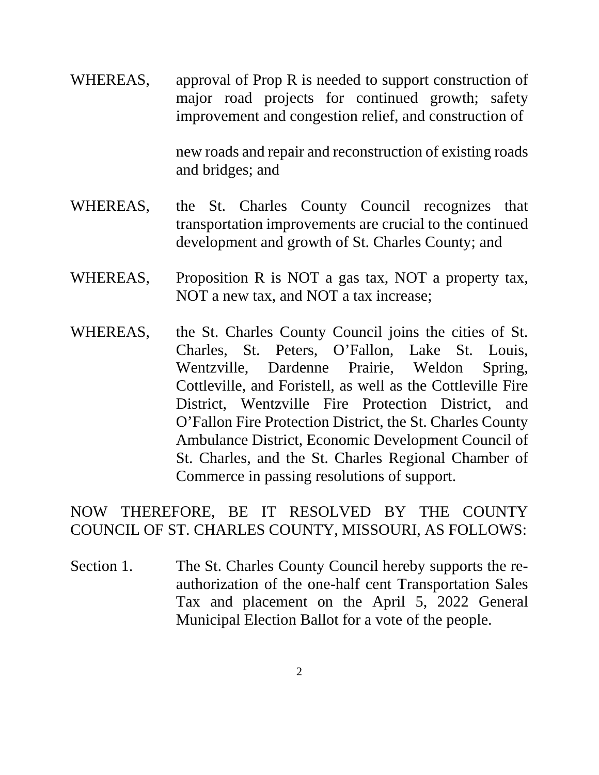WHEREAS, approval of Prop R is needed to support construction of major road projects for continued growth; safety improvement and congestion relief, and construction of

> new roads and repair and reconstruction of existing roads and bridges; and

- WHEREAS, the St. Charles County Council recognizes that transportation improvements are crucial to the continued development and growth of St. Charles County; and
- WHEREAS, Proposition R is NOT a gas tax, NOT a property tax, NOT a new tax, and NOT a tax increase;
- WHEREAS, the St. Charles County Council joins the cities of St. Charles, St. Peters, O'Fallon, Lake St. Louis, Wentzville, Dardenne Prairie, Weldon Spring, Cottleville, and Foristell, as well as the Cottleville Fire District, Wentzville Fire Protection District, and O'Fallon Fire Protection District, the St. Charles County Ambulance District, Economic Development Council of St. Charles, and the St. Charles Regional Chamber of Commerce in passing resolutions of support.

## NOW THEREFORE, BE IT RESOLVED BY THE COUNTY COUNCIL OF ST. CHARLES COUNTY, MISSOURI, AS FOLLOWS:

Section 1. The St. Charles County Council hereby supports the reauthorization of the one-half cent Transportation Sales Tax and placement on the April 5, 2022 General Municipal Election Ballot for a vote of the people.